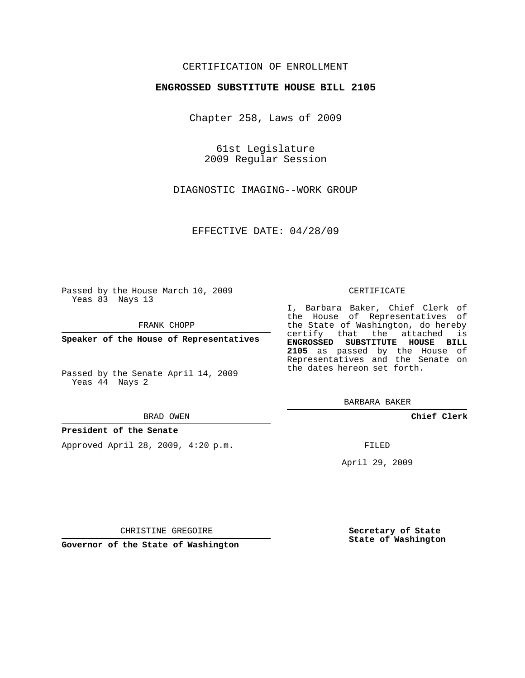# CERTIFICATION OF ENROLLMENT

## **ENGROSSED SUBSTITUTE HOUSE BILL 2105**

Chapter 258, Laws of 2009

61st Legislature 2009 Regular Session

DIAGNOSTIC IMAGING--WORK GROUP

EFFECTIVE DATE: 04/28/09

Passed by the House March 10, 2009 Yeas 83 Nays 13

FRANK CHOPP

**Speaker of the House of Representatives**

Passed by the Senate April 14, 2009 Yeas 44 Nays 2

#### BRAD OWEN

### **President of the Senate**

Approved April 28, 2009, 4:20 p.m.

#### CERTIFICATE

I, Barbara Baker, Chief Clerk of the House of Representatives of the State of Washington, do hereby certify that the attached is **ENGROSSED SUBSTITUTE HOUSE BILL 2105** as passed by the House of Representatives and the Senate on the dates hereon set forth.

BARBARA BAKER

**Chief Clerk**

FILED

April 29, 2009

CHRISTINE GREGOIRE

**Governor of the State of Washington**

**Secretary of State State of Washington**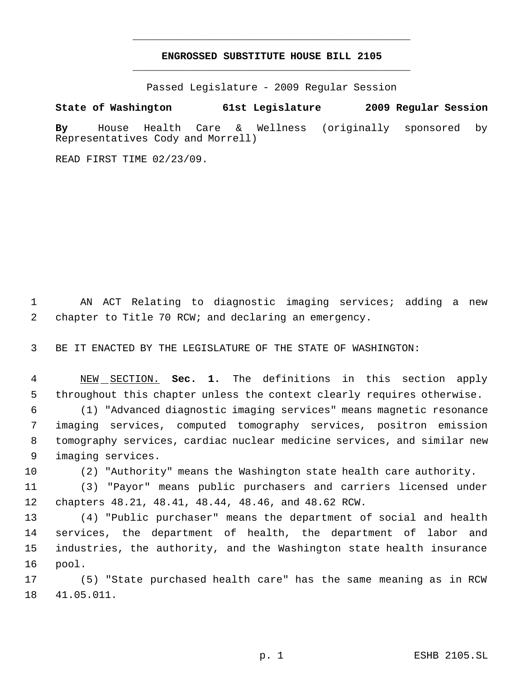# **ENGROSSED SUBSTITUTE HOUSE BILL 2105** \_\_\_\_\_\_\_\_\_\_\_\_\_\_\_\_\_\_\_\_\_\_\_\_\_\_\_\_\_\_\_\_\_\_\_\_\_\_\_\_\_\_\_\_\_

\_\_\_\_\_\_\_\_\_\_\_\_\_\_\_\_\_\_\_\_\_\_\_\_\_\_\_\_\_\_\_\_\_\_\_\_\_\_\_\_\_\_\_\_\_

Passed Legislature - 2009 Regular Session

**State of Washington 61st Legislature 2009 Regular Session**

**By** House Health Care & Wellness (originally sponsored by Representatives Cody and Morrell)

READ FIRST TIME 02/23/09.

 AN ACT Relating to diagnostic imaging services; adding a new chapter to Title 70 RCW; and declaring an emergency.

BE IT ENACTED BY THE LEGISLATURE OF THE STATE OF WASHINGTON:

 NEW SECTION. **Sec. 1.** The definitions in this section apply throughout this chapter unless the context clearly requires otherwise.

 (1) "Advanced diagnostic imaging services" means magnetic resonance imaging services, computed tomography services, positron emission tomography services, cardiac nuclear medicine services, and similar new imaging services.

(2) "Authority" means the Washington state health care authority.

 (3) "Payor" means public purchasers and carriers licensed under chapters 48.21, 48.41, 48.44, 48.46, and 48.62 RCW.

 (4) "Public purchaser" means the department of social and health services, the department of health, the department of labor and industries, the authority, and the Washington state health insurance pool.

 (5) "State purchased health care" has the same meaning as in RCW 41.05.011.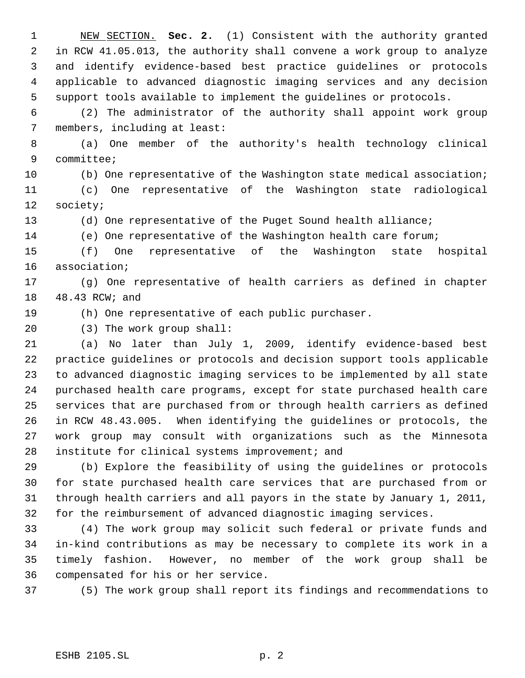NEW SECTION. **Sec. 2.** (1) Consistent with the authority granted in RCW 41.05.013, the authority shall convene a work group to analyze and identify evidence-based best practice guidelines or protocols applicable to advanced diagnostic imaging services and any decision support tools available to implement the guidelines or protocols.

 (2) The administrator of the authority shall appoint work group members, including at least:

 (a) One member of the authority's health technology clinical committee;

(b) One representative of the Washington state medical association;

 (c) One representative of the Washington state radiological society;

(d) One representative of the Puget Sound health alliance;

(e) One representative of the Washington health care forum;

 (f) One representative of the Washington state hospital association;

 (g) One representative of health carriers as defined in chapter 48.43 RCW; and

(h) One representative of each public purchaser.

(3) The work group shall:

 (a) No later than July 1, 2009, identify evidence-based best practice guidelines or protocols and decision support tools applicable to advanced diagnostic imaging services to be implemented by all state purchased health care programs, except for state purchased health care services that are purchased from or through health carriers as defined in RCW 48.43.005. When identifying the guidelines or protocols, the work group may consult with organizations such as the Minnesota institute for clinical systems improvement; and

 (b) Explore the feasibility of using the guidelines or protocols for state purchased health care services that are purchased from or through health carriers and all payors in the state by January 1, 2011, for the reimbursement of advanced diagnostic imaging services.

 (4) The work group may solicit such federal or private funds and in-kind contributions as may be necessary to complete its work in a timely fashion. However, no member of the work group shall be compensated for his or her service.

(5) The work group shall report its findings and recommendations to